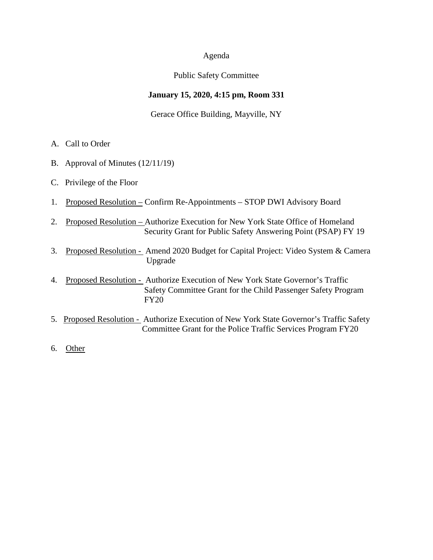#### Agenda

## Public Safety Committee

## **January 15, 2020, 4:15 pm, Room 331**

## Gerace Office Building, Mayville, NY

- A. Call to Order
- B. Approval of Minutes (12/11/19)
- C. Privilege of the Floor
- 1. Proposed Resolution Confirm Re-Appointments STOP DWI Advisory Board
- 2. Proposed Resolution Authorize Execution for New York State Office of Homeland Security Grant for Public Safety Answering Point (PSAP) FY 19
- 3. Proposed Resolution Amend 2020 Budget for Capital Project: Video System & Camera Upgrade
- 4. Proposed Resolution Authorize Execution of New York State Governor's Traffic Safety Committee Grant for the Child Passenger Safety Program FY20
- 5. Proposed Resolution Authorize Execution of New York State Governor's Traffic Safety Committee Grant for the Police Traffic Services Program FY20
- 6. Other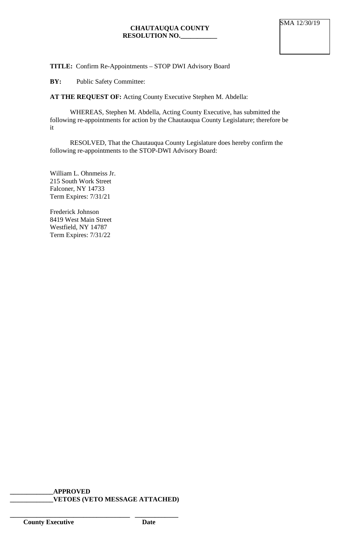# **TITLE:** Confirm Re-Appointments – STOP DWI Advisory Board

**BY:** Public Safety Committee:

**AT THE REQUEST OF:** Acting County Executive Stephen M. Abdella:

WHEREAS, Stephen M. Abdella, Acting County Executive, has submitted the following re-appointments for action by the Chautauqua County Legislature; therefore be it

RESOLVED, That the Chautauqua County Legislature does hereby confirm the following re-appointments to the STOP-DWI Advisory Board:

William L. Ohnmeiss Jr. 215 South Work Street Falconer, NY 14733 Term Expires: 7/31/21

Frederick Johnson 8419 West Main Street Westfield, NY 14787 Term Expires: 7/31/22

**\_\_\_\_\_\_\_\_\_\_\_\_\_APPROVED \_\_\_\_\_\_\_\_\_\_\_\_\_VETOES (VETO MESSAGE ATTACHED)**

**\_\_\_\_\_\_\_\_\_\_\_\_\_\_\_\_\_\_\_\_\_\_\_\_\_\_\_\_\_\_\_\_\_\_\_\_ \_\_\_\_\_\_\_\_\_\_\_\_\_**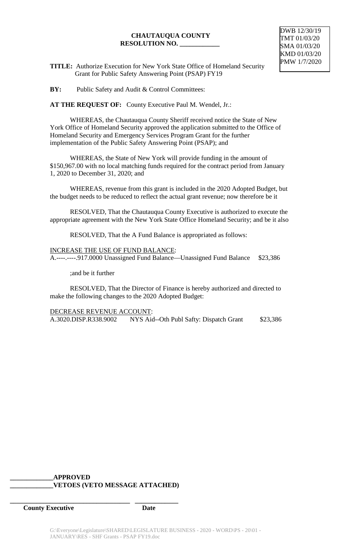#### **CHAUTAUQUA COUNTY RESOLUTION NO. \_\_\_\_\_\_\_\_\_\_\_\_**

**TITLE:** Authorize Execution for New York State Office of Homeland Security Grant for Public Safety Answering Point (PSAP) FY19

**BY:** Public Safety and Audit & Control Committees:

**AT THE REQUEST OF:** County Executive Paul M. Wendel, Jr.:

WHEREAS, the Chautauqua County Sheriff received notice the State of New York Office of Homeland Security approved the application submitted to the Office of Homeland Security and Emergency Services Program Grant for the further implementation of the Public Safety Answering Point (PSAP); and

WHEREAS, the State of New York will provide funding in the amount of \$150,967.00 with no local matching funds required for the contract period from January 1, 2020 to December 31, 2020; and

WHEREAS, revenue from this grant is included in the 2020 Adopted Budget, but the budget needs to be reduced to reflect the actual grant revenue; now therefore be it

RESOLVED, That the Chautauqua County Executive is authorized to execute the appropriate agreement with the New York State Office Homeland Security; and be it also

RESOLVED, That the A Fund Balance is appropriated as follows:

INCREASE THE USE OF FUND BALANCE: A.----.----.917.0000 Unassigned Fund Balance—Unassigned Fund Balance \$23,386

;and be it further

RESOLVED, That the Director of Finance is hereby authorized and directed to make the following changes to the 2020 Adopted Budget:

DECREASE REVENUE ACCOUNT: A.3020.DISP.R338.9002 NYS Aid--Oth Publ Safty: Dispatch Grant \$23,386

## **\_\_\_\_\_\_\_\_\_\_\_\_\_APPROVED \_\_\_\_\_\_\_\_\_\_\_\_\_VETOES (VETO MESSAGE ATTACHED)**

**\_\_\_\_\_\_\_\_\_\_\_\_\_\_\_\_\_\_\_\_\_\_\_\_\_\_\_\_\_\_\_\_\_\_\_\_ \_\_\_\_\_\_\_\_\_\_\_\_\_**

**County Executive Date**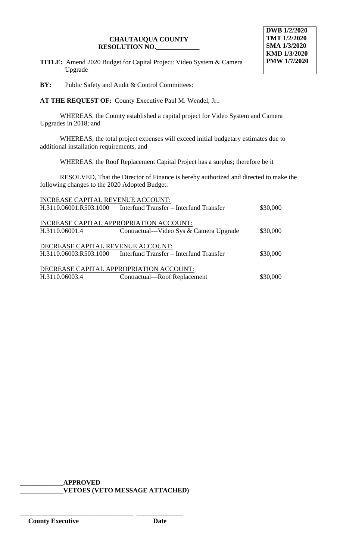#### **CHAUTAUQUA COUNTY RESOLUTION NO.\_\_\_\_\_\_\_\_\_\_\_\_\_**

**TITLE:** Amend 2020 Budget for Capital Project: Video System & Camera Upgrade

**BY:** Public Safety and Audit & Control Committees:

**AT THE REQUEST OF:** County Executive Paul M. Wendel, Jr.:

WHEREAS, the County established a capital project for Video System and Camera Upgrades in 2018; and

WHEREAS, the total project expenses will exceed initial budgetary estimates due to additional installation requirements, and

WHEREAS, the Roof Replacement Capital Project has a surplus; therefore be it

RESOLVED, That the Director of Finance is hereby authorized and directed to make the following changes to the 2020 Adopted Budget:

| INCREASE CAPITAL REVENUE ACCOUNT:       |                                                                |          |  |
|-----------------------------------------|----------------------------------------------------------------|----------|--|
|                                         | H.3110.06001.R503.1000 Interfund Transfer – Interfund Transfer | \$30,000 |  |
|                                         |                                                                |          |  |
| INCREASE CAPITAL APPROPRIATION ACCOUNT: |                                                                |          |  |
| H.3110.06001.4                          | Contractual—Video Sys & Camera Upgrade                         | \$30,000 |  |
|                                         |                                                                |          |  |
| DECREASE CAPITAL REVENUE ACCOUNT:       |                                                                |          |  |
|                                         | H.3110.06003.R503.1000 Interfund Transfer – Interfund Transfer | \$30,000 |  |
|                                         |                                                                |          |  |
| DECREASE CAPITAL APPROPRIATION ACCOUNT: |                                                                |          |  |
| H.3110.06003.4                          | Contractual—Roof Replacement                                   | \$30,000 |  |
|                                         |                                                                |          |  |

**\_\_\_\_\_\_\_\_\_\_\_\_\_APPROVED \_\_\_\_\_\_\_\_\_\_\_\_\_VETOES (VETO MESSAGE ATTACHED)**

\_\_\_\_\_\_\_\_\_\_\_\_\_\_\_\_\_\_\_\_\_\_\_\_\_\_\_\_\_\_\_\_\_\_ \_\_\_\_\_\_\_\_\_\_\_\_\_\_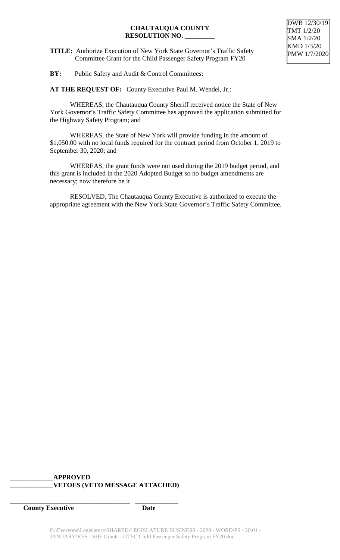## **CHAUTAUQUA COUNTY RESOLUTION NO. \_\_\_\_\_\_\_\_\_**

**TITLE:** Authorize Execution of New York State Governor's Traffic Safety Committee Grant for the Child Passenger Safety Program FY20

**AT THE REQUEST OF:** County Executive Paul M. Wendel, Jr.:

WHEREAS, the Chautauqua County Sheriff received notice the State of New York Governor's Traffic Safety Committee has approved the application submitted for the Highway Safety Program; and

WHEREAS, the State of New York will provide funding in the amount of \$1,050.00 with no local funds required for the contract period from October 1, 2019 to September 30, 2020; and

WHEREAS, the grant funds were not used during the 2019 budget period, and this grant is included in the 2020 Adopted Budget so no budget amendments are necessary; now therefore be it

RESOLVED, The Chautauqua County Executive is authorized to execute the appropriate agreement with the New York State Governor's Traffic Safety Committee.

## **\_\_\_\_\_\_\_\_\_\_\_\_\_APPROVED \_\_\_\_\_\_\_\_\_\_\_\_\_VETOES (VETO MESSAGE ATTACHED)**

**\_\_\_\_\_\_\_\_\_\_\_\_\_\_\_\_\_\_\_\_\_\_\_\_\_\_\_\_\_\_\_\_\_\_\_\_ \_\_\_\_\_\_\_\_\_\_\_\_\_**

*County Executive* Date